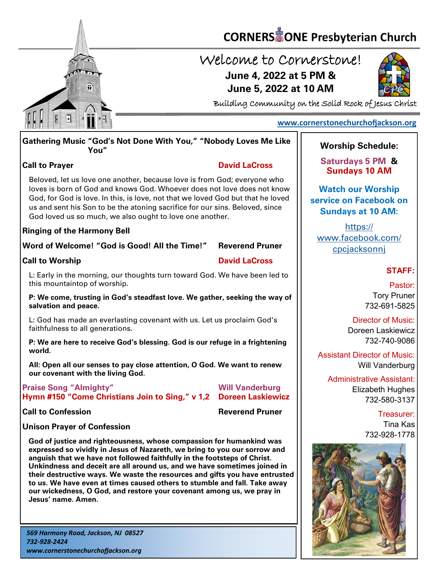

# **CORNERS** TONE Presbyterian Church

## Welcome to Cornerstone! **June 4, 2022 at 5 PM & June 5, 2022 at 10 AM**



Building Community on the Solid Rock of Jesus Christ

### **[www.cornerstonechurchofjackson.org](http://www.cornerstonechurchofjackson.org)**

### **Gathering Music "God's Not Done With You," "Nobody Loves Me Like You"**

### **Call to Prayer David LaCross**

 Beloved, let us love one another, because love is from God; everyone who loves is born of God and knows God. Whoever does not love does not know God, for God is love. In this, is love, not that we loved God but that he loved us and sent his Son to be the atoning sacrifice for our sins. Beloved, since God loved us so much, we also ought to love one another.

### **Ringing of the Harmony Bell**

### **Word of Welcome! "God is Good! All the Time!" Reverend Pruner**

### **Call to Worship David LaCross**

L: Early in the morning, our thoughts turn toward God. We have been led to this mountaintop of worship.

### **P: We come, trusting in God's steadfast love. We gather, seeking the way of salvation and peace.**

L: God has made an everlasting covenant with us. Let us proclaim God's faithfulness to all generations.

### **P: We are here to receive God's blessing. God is our refuge in a frightening world.**

**All: Open all our senses to pay close attention, O God. We want to renew our covenant with the living God.**

| <b>Praise Song "Almighty"</b>                                      | <b>Will Vanderburg</b> |
|--------------------------------------------------------------------|------------------------|
| Hymn #150 "Come Christians Join to Sing," v 1,2  Doreen Laskiewicz |                        |

**Call to Confession** 

### **Unison Prayer of Confession**

**God of justice and righteousness, whose compassion for humankind was expressed so vividly in Jesus of Nazareth, we bring to you our sorrow and anguish that we have not followed faithfully in the footsteps of Christ. Unkindness and deceit are all around us, and we have sometimes joined in their destructive ways. We waste the resources and gifts you have entrusted to us. We have even at times caused others to stumble and fall. Take away our wickedness, O God, and restore your covenant among us, we pray in Jesus' name. Amen.**

### **Worship Schedule:**

**Saturdays 5 PM & Sundays 10 AM**

**Watch our Worship service on Facebook on Sundays at 10 AM:**

[https://](https://www.facebook.com/cpcjacksonnj) [www.facebook.com/](https://www.facebook.com/cpcjacksonnj) [cpcjacksonnj](https://www.facebook.com/cpcjacksonnj)

### **STAFF:**

Pastor: Tory Pruner 732-691-5825

Director of Music: Doreen Laskiewicz 732-740-9086

Assistant Director of Music: Will Vanderburg

Administrative Assistant: Elizabeth Hughes 732-580-3137

> Treasurer: Tina Kas 732-928-1778